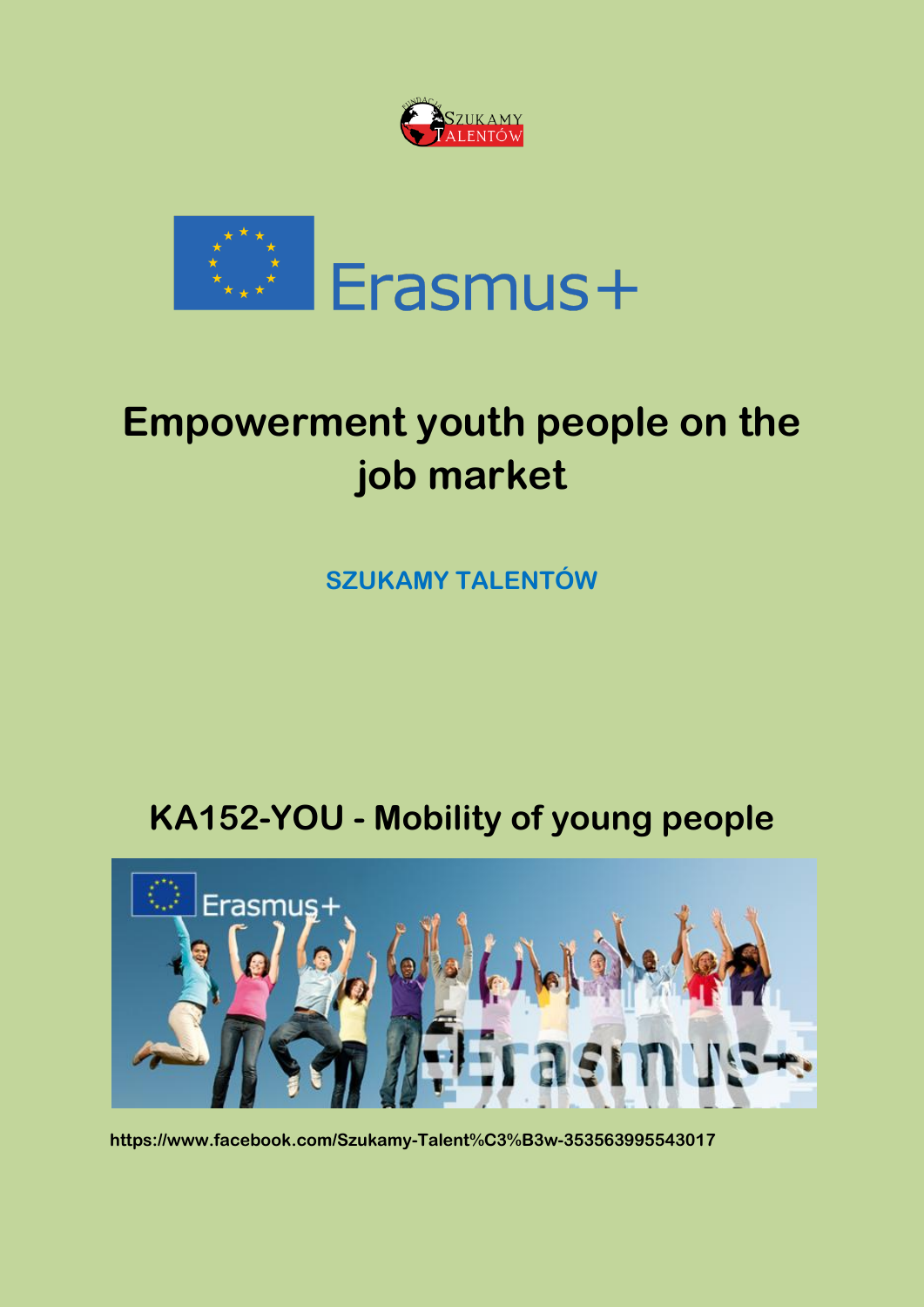



# **Empowerment youth people on the job market**

**SZUKAMY TALENTÓW** 

# **KA152-YOU - Mobility of young people**



**https://www.facebook.com/Szukamy-Talent%C3%B3w-353563995543017**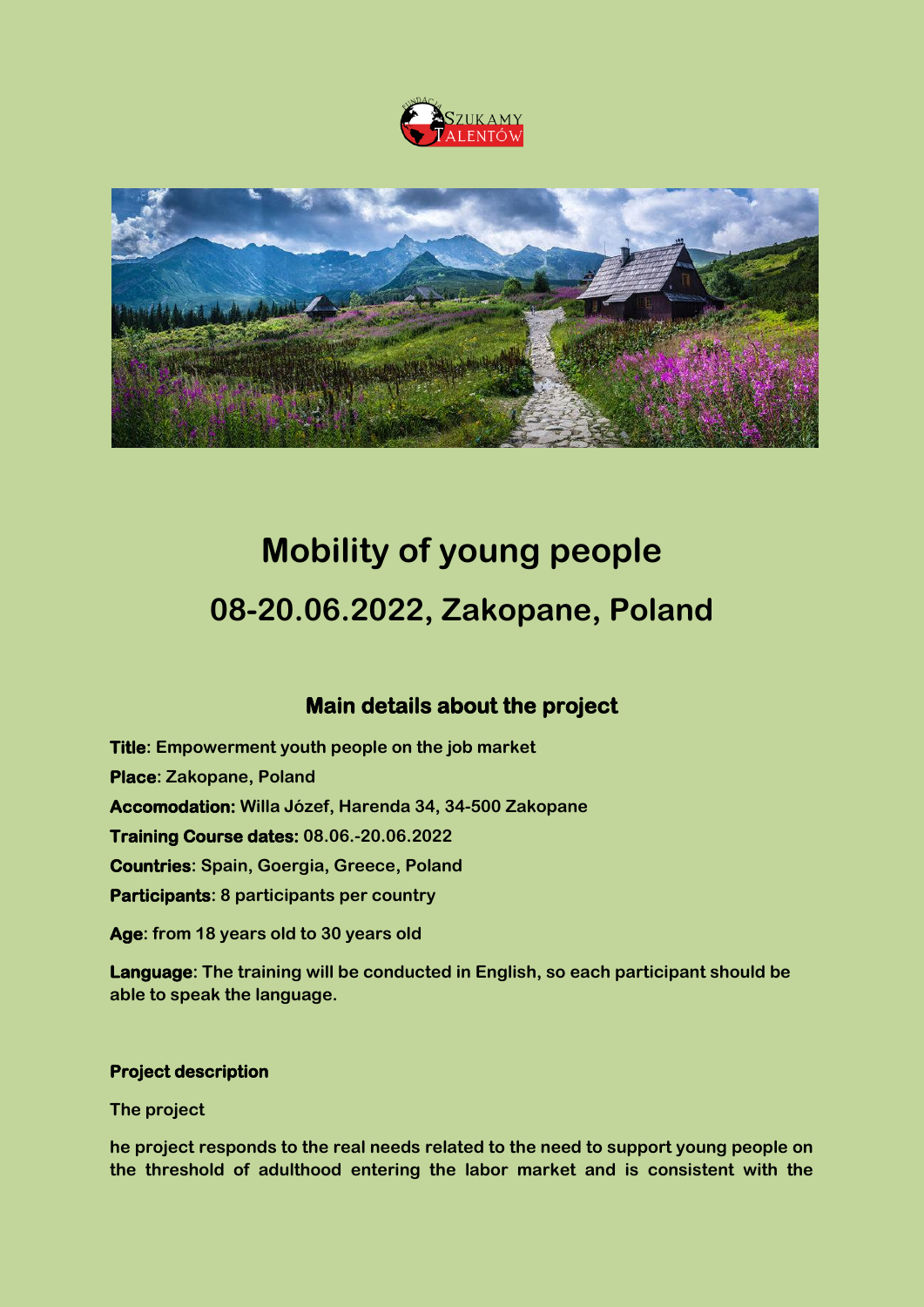



# **Mobility of young people 08-20.06.2022, Zakopane, Poland**

# **Main details about the project**

**Title: Empowerment youth people on the job market Place: Zakopane, Poland Accomodation: Willa Józef, Harenda 34, 34-500 Zakopane Training Course dates: 08.06.-20.06.2022 Countries: Spain, Goergia, Greece, Poland Participants: 8 participants per country**

**Age: from 18 years old to 30 years old** 

**Language: The training will be conducted in English, so each participant should be able to speak the language.**

#### **Project description**

**The project** 

**he project responds to the real needs related to the need to support young people on the threshold of adulthood entering the labor market and is consistent with the**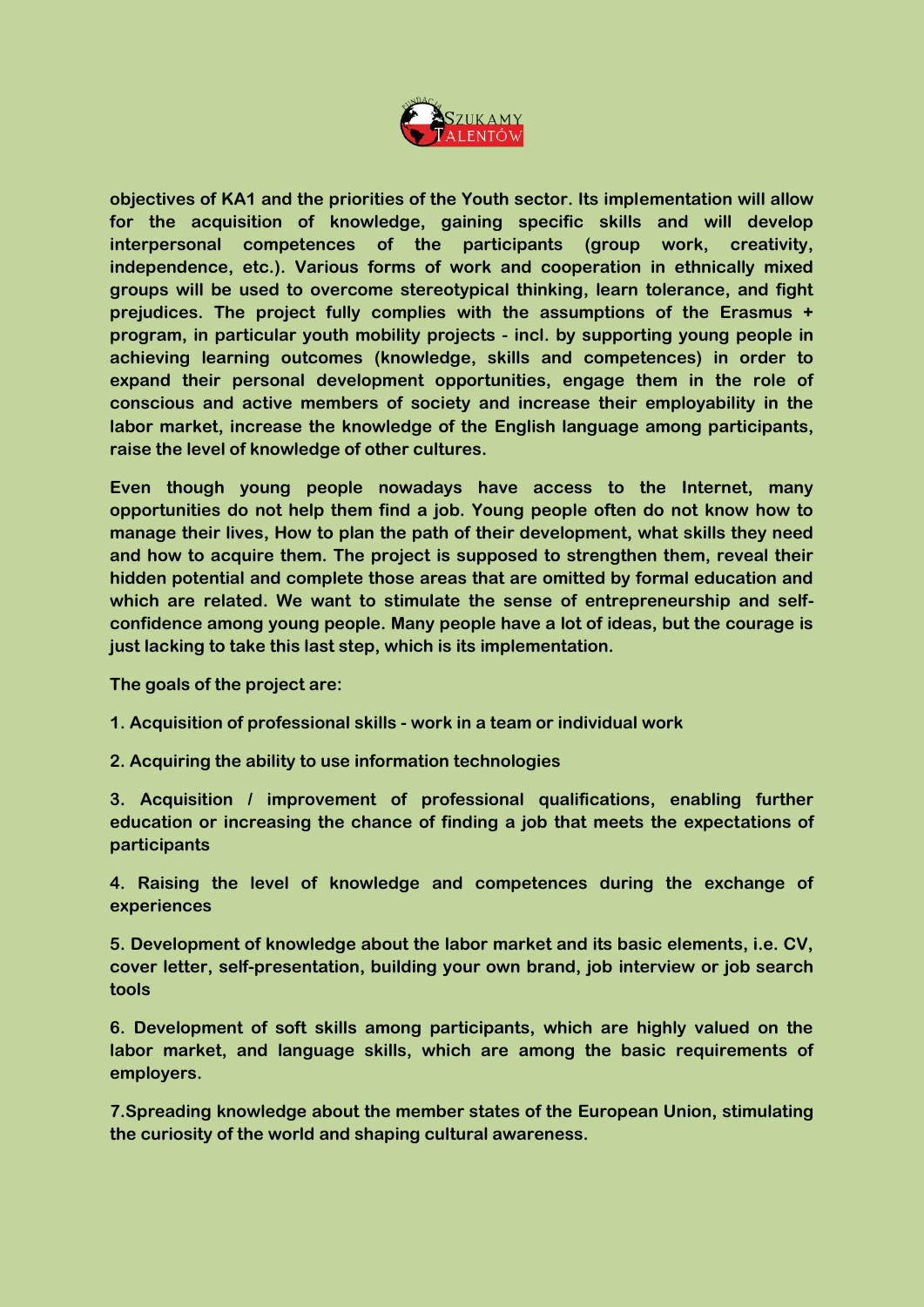

**objectives of KA1 and the priorities of the Youth sector. Its implementation will allow for the acquisition of knowledge, gaining specific skills and will develop interpersonal competences of the participants (group work, creativity, independence, etc.). Various forms of work and cooperation in ethnically mixed groups will be used to overcome stereotypical thinking, learn tolerance, and fight prejudices. The project fully complies with the assumptions of the Erasmus + program, in particular youth mobility projects - incl. by supporting young people in achieving learning outcomes (knowledge, skills and competences) in order to expand their personal development opportunities, engage them in the role of conscious and active members of society and increase their employability in the labor market, increase the knowledge of the English language among participants, raise the level of knowledge of other cultures.**

**Even though young people nowadays have access to the Internet, many opportunities do not help them find a job. Young people often do not know how to manage their lives, How to plan the path of their development, what skills they need and how to acquire them. The project is supposed to strengthen them, reveal their hidden potential and complete those areas that are omitted by formal education and which are related. We want to stimulate the sense of entrepreneurship and selfconfidence among young people. Many people have a lot of ideas, but the courage is just lacking to take this last step, which is its implementation.**

**The goals of the project are:**

**1. Acquisition of professional skills - work in a team or individual work**

**2. Acquiring the ability to use information technologies**

**3. Acquisition / improvement of professional qualifications, enabling further education or increasing the chance of finding a job that meets the expectations of participants**

**4. Raising the level of knowledge and competences during the exchange of experiences**

**5. Development of knowledge about the labor market and its basic elements, i.e. CV, cover letter, self-presentation, building your own brand, job interview or job search tools** 

**6. Development of soft skills among participants, which are highly valued on the labor market, and language skills, which are among the basic requirements of employers.**

**7.Spreading knowledge about the member states of the European Union, stimulating the curiosity of the world and shaping cultural awareness.**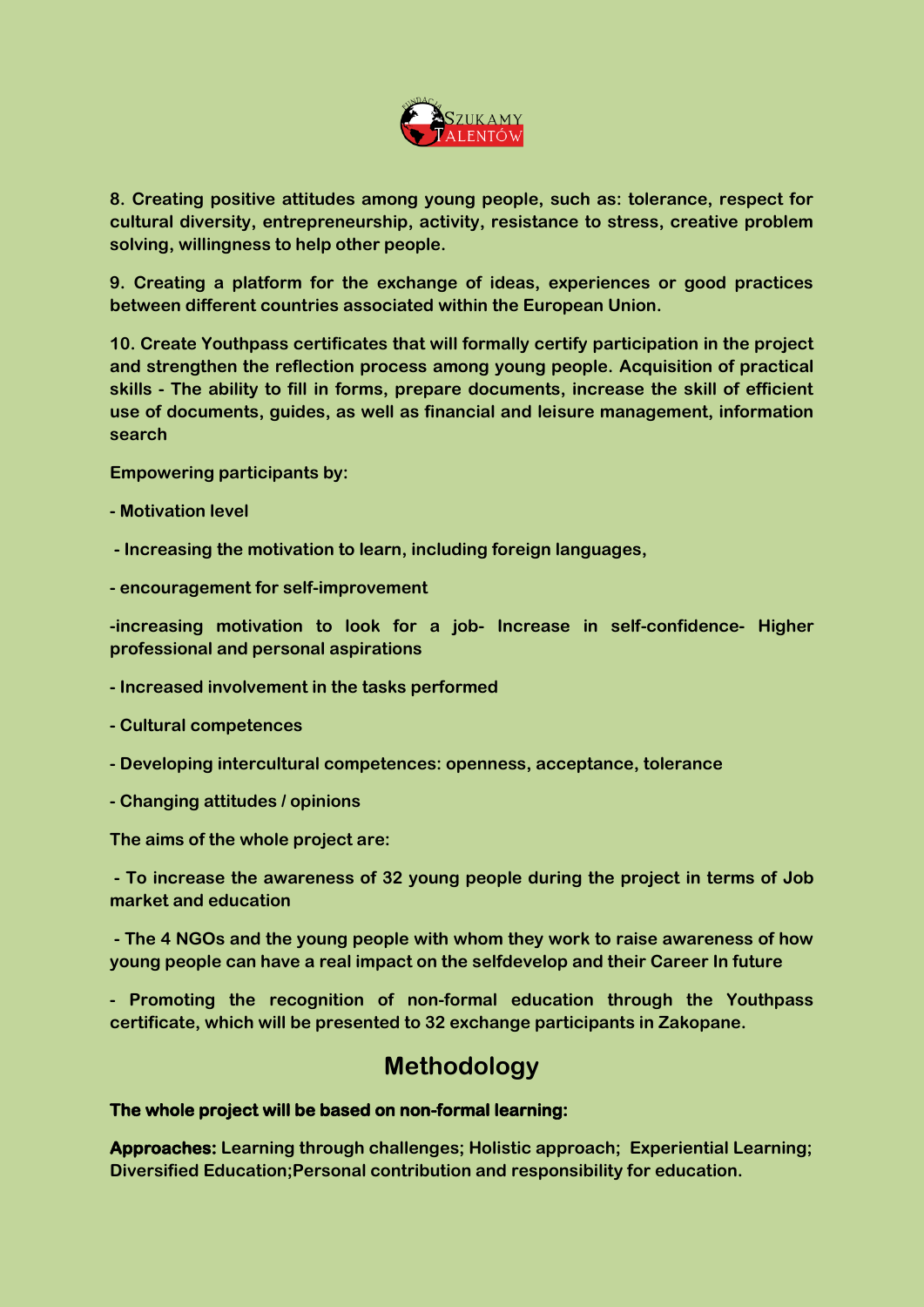

**8. Creating positive attitudes among young people, such as: tolerance, respect for cultural diversity, entrepreneurship, activity, resistance to stress, creative problem solving, willingness to help other people.**

**9. Creating a platform for the exchange of ideas, experiences or good practices between different countries associated within the European Union.**

**10. Create Youthpass certificates that will formally certify participation in the project and strengthen the reflection process among young people. Acquisition of practical skills - The ability to fill in forms, prepare documents, increase the skill of efficient use of documents, guides, as well as financial and leisure management, information search**

**Empowering participants by:**

**- Motivation level**

**- Increasing the motivation to learn, including foreign languages,**

**- encouragement for self-improvement**

**-increasing motivation to look for a job- Increase in self-confidence- Higher professional and personal aspirations**

- **- Increased involvement in the tasks performed**
- **- Cultural competences**
- **- Developing intercultural competences: openness, acceptance, tolerance**
- **- Changing attitudes / opinions**

**The aims of the whole project are:**

**- To increase the awareness of 32 young people during the project in terms of Job market and education**

**- The 4 NGOs and the young people with whom they work to raise awareness of how young people can have a real impact on the selfdevelop and their Career In future** 

**- Promoting the recognition of non-formal education through the Youthpass certificate, which will be presented to 32 exchange participants in Zakopane.** 

# **Methodology**

#### **The whole project will be based on non-formal learning:**

**Approaches: Learning through challenges; Holistic approach; Experiential Learning; Diversified Education;Personal contribution and responsibility for education.**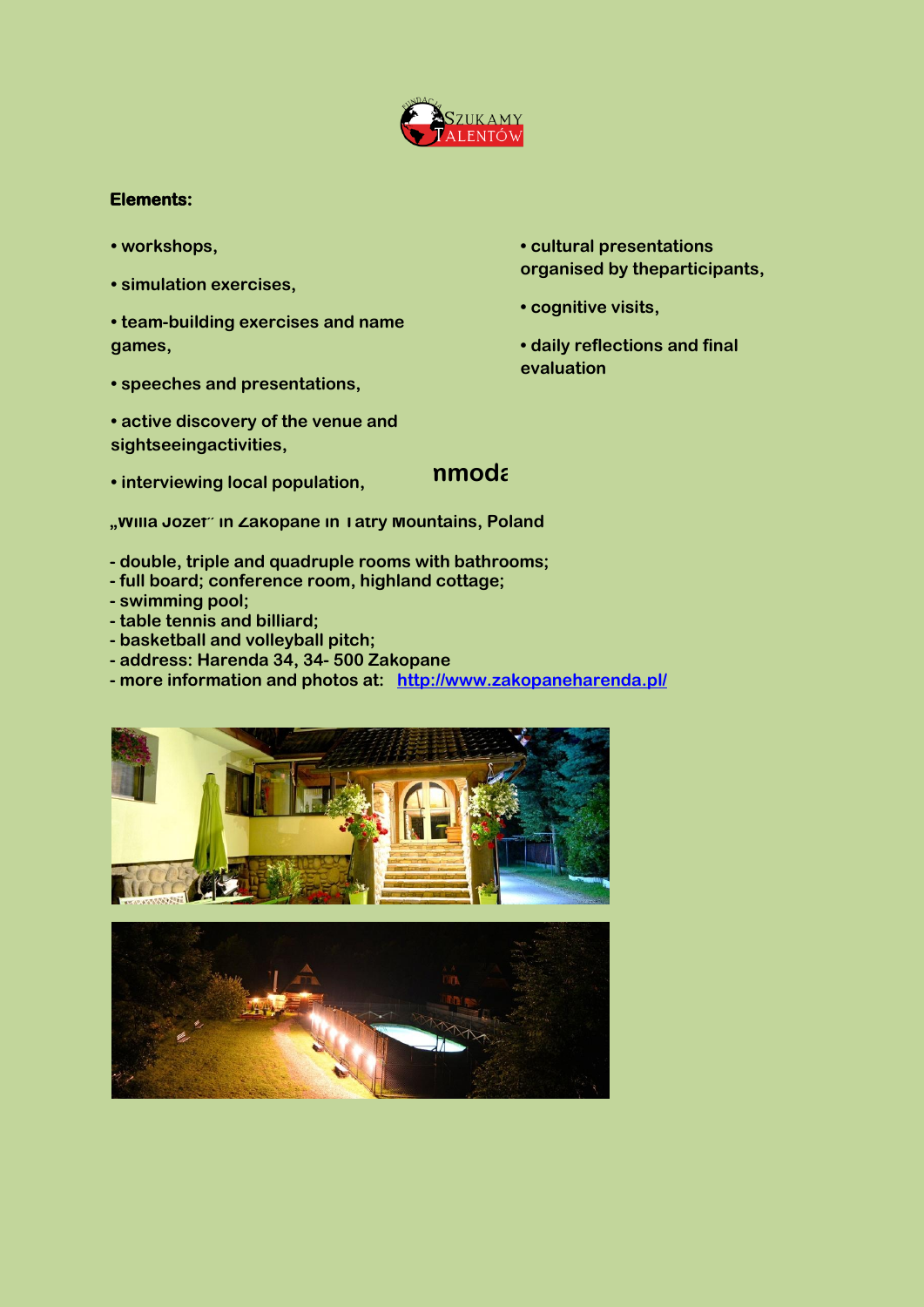

#### **Elements:**

- **workshops,**
- **simulation exercises,**
- **team-building exercises and name games,**
- **speeches and presentations,**
- **active discovery of the venue and sightseeingactivities,**
- **interviewing local population,**
- **cultural presentations organised by theparticipants,**
- **cognitive visits,**
- **daily reflections and final evaluation**

#### **nmoda**

**"Willa Józef" in Zakopane in Tatry Mountains, Poland**

- **- double, triple and quadruple rooms with bathrooms;**
- **- full board; conference room, highland cottage;**
- **- swimming pool;**
- **- table tennis and billiard;**
- **- basketball and volleyball pitch;**
- **- address: Harenda 34, 34- 500 Zakopane**
- **- more information and photos at: <http://www.zakopaneharenda.pl/>**



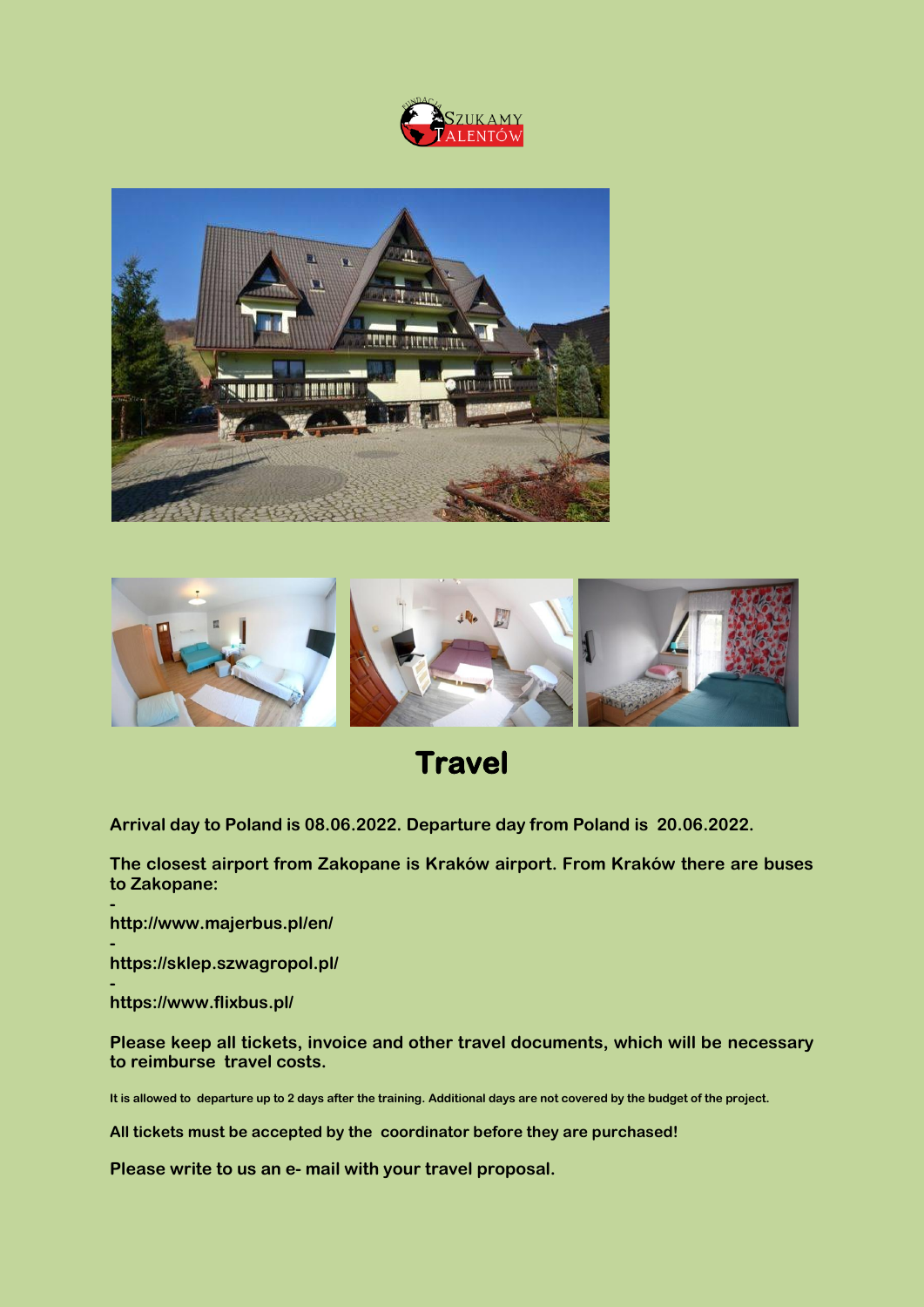





# **Travel**

**Arrival day to Poland is 08.06.2022. Departure day from Poland is 20.06.2022.**

**The closest airport from Zakopane is Kraków airport. From Kraków there are buses to Zakopane: -**

**http://www.majerbus.pl/en/**

**https://sklep.szwagropol.pl/**

 **https://www.flixbus.pl/**

**-**

**Please keep all tickets, invoice and other travel documents, which will be necessary to reimburse travel costs.**

**It is allowed to departure up to 2 days after the training. Additional days are not covered by the budget of the project.** 

**All tickets must be accepted by the coordinator before they are purchased!**

**Please write to us an e- mail with your travel proposal.**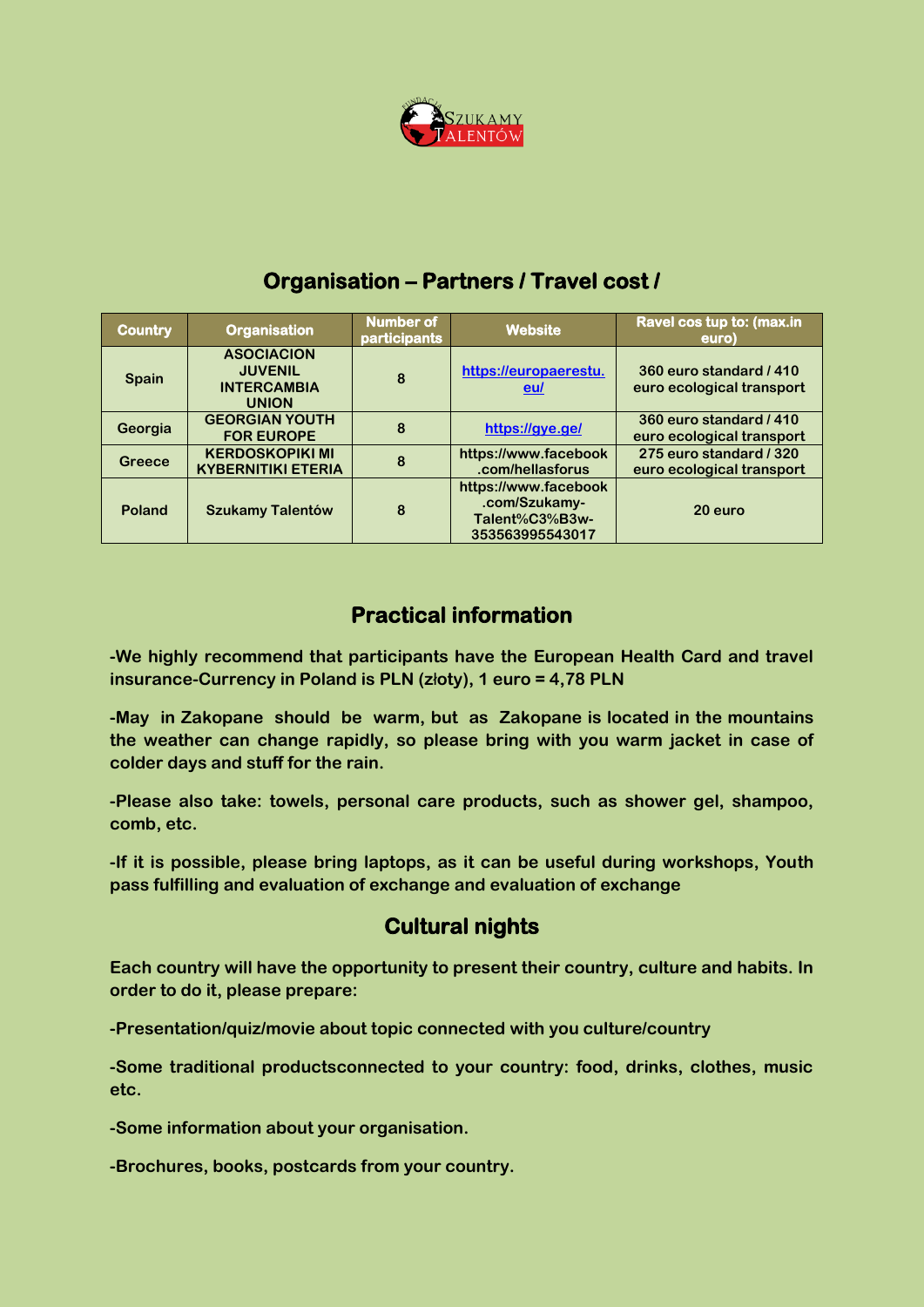

| <b>Country</b> | <b>Organisation</b>                                                       | <b>Number of</b><br>participants | <b>Website</b>                                                             | Ravel cos tup to: (max.in<br>euro)                   |
|----------------|---------------------------------------------------------------------------|----------------------------------|----------------------------------------------------------------------------|------------------------------------------------------|
| <b>Spain</b>   | <b>ASOCIACION</b><br><b>JUVENIL</b><br><b>INTERCAMBIA</b><br><b>UNION</b> | 8                                | https://europaerestu.<br>eul                                               | 360 euro standard / 410<br>euro ecological transport |
| Georgia        | <b>GEORGIAN YOUTH</b><br><b>FOR EUROPE</b>                                | 8                                | https://gye.ge/                                                            | 360 euro standard / 410<br>euro ecological transport |
| <b>Greece</b>  | <b>KERDOSKOPIKI MI</b><br><b>KYBERNITIKI ETERIA</b>                       | 8                                | https://www.facebook<br>.com/hellasforus                                   | 275 euro standard / 320<br>euro ecological transport |
| <b>Poland</b>  | <b>Szukamy Talentów</b>                                                   | 8                                | https://www.facebook<br>.com/Szukamy-<br>Talent%C3%B3w-<br>353563995543017 | 20 euro                                              |

## **Organisation – Partners / Travel cost /**

# **Practical information**

**-We highly recommend that participants have the European Health Card and travel insurance-Currency in Poland is PLN (z**ł**oty), 1 euro = 4,78 PLN**

**-May in Zakopane should be warm, but as Zakopane is located in the mountains the weather can change rapidly, so please bring with you warm jacket in case of colder days and stuff for the rain.**

**-Please also take: towels, personal care products, such as shower gel, shampoo, comb, etc.**

**-If it is possible, please bring laptops, as it can be useful during workshops, Youth pass fulfilling and evaluation of exchange and evaluation of exchange**

### **Cultural nights**

**Each country will have the opportunity to present their country, culture and habits. In order to do it, please prepare:**

**-Presentation/quiz/movie about topic connected with you culture/country**

**-Some traditional productsconnected to your country: food, drinks, clothes, music etc.**

**-Some information about your organisation.**

**-Brochures, books, postcards from your country.**